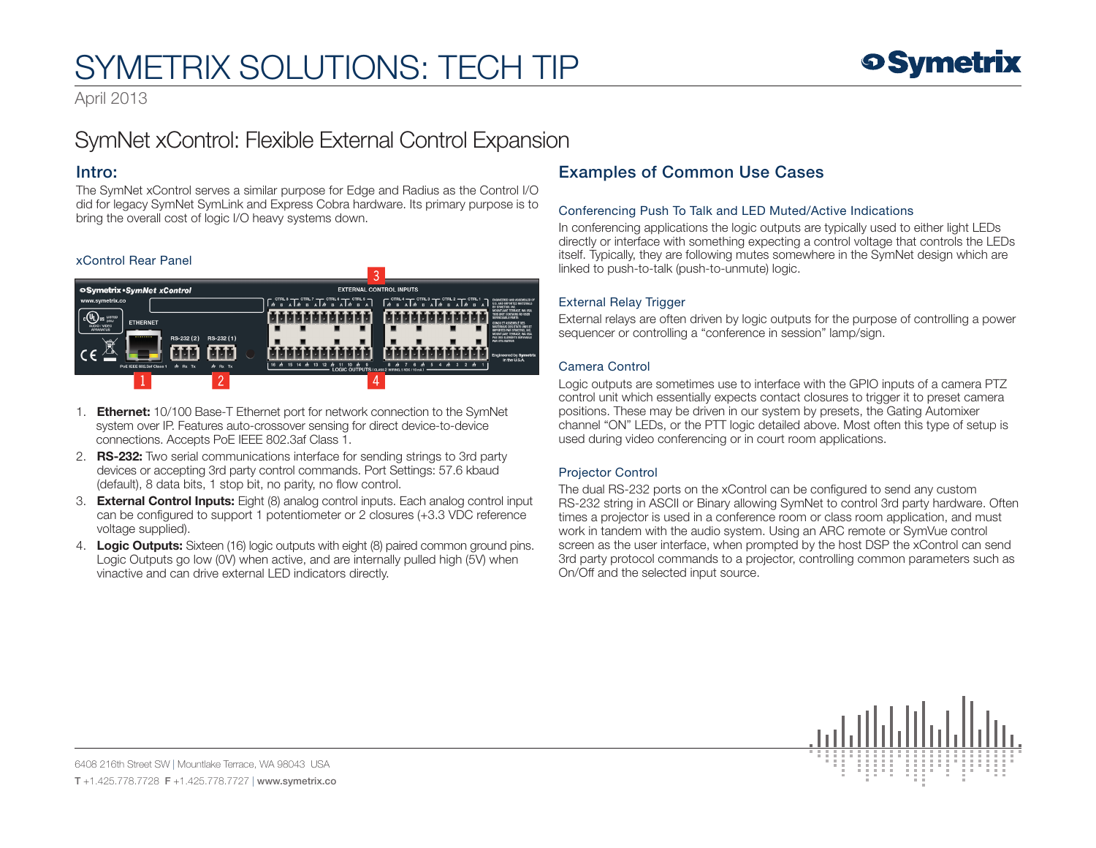# SYMETRIX SOLUTIONS: TECH TIP

April 2013

# SymNet xControl: Flexible External Control Expansion

### Intro:

The SymNet xControl serves a similar purpose for Edge and Radius as the Control I/O did for legacy SymNet SymLink and Express Cobra hardware. Its primary purpose is to bring the overall cost of logic I/O heavy systems down.

#### xControl Rear Panel



- 1. **Ethernet:** 10/100 Base-T Ethernet port for network connection to the SymNet system over IP. Features auto-crossover sensing for direct device-to-device connections. Accepts PoE IEEE 802.3af Class 1.
- 2. **RS-232:** Two serial communications interface for sending strings to 3rd party devices or accepting 3rd party control commands. Port Settings: 57.6 kbaud (default), 8 data bits, 1 stop bit, no parity, no flow control.
- 3. **External Control Inputs:** Eight (8) analog control inputs. Each analog control input can be configured to support 1 potentiometer or 2 closures (+3.3 VDC reference voltage supplied).
- 4. Logic Outputs: Sixteen (16) logic outputs with eight (8) paired common ground pins. Logic Outputs go low (0V) when active, and are internally pulled high (5V) when vinactive and can drive external LED indicators directly.

# Examples of Common Use Cases

#### Conferencing Push To Talk and LED Muted/Active Indications

In conferencing applications the logic outputs are typically used to either light LEDs directly or interface with something expecting a control voltage that controls the LEDs itself. Typically, they are following mutes somewhere in the SymNet design which are linked to push-to-talk (push-to-unmute) logic.

#### External Relay Trigger

External relays are often driven by logic outputs for the purpose of controlling a power sequencer or controlling a "conference in session" lamp/sign.

#### Camera Control

Logic outputs are sometimes use to interface with the GPIO inputs of a camera PTZ control unit which essentially expects contact closures to trigger it to preset camera positions. These may be driven in our system by presets, the Gating Automixer channel "ON" LEDs, or the PTT logic detailed above. Most often this type of setup is used during video conferencing or in court room applications.

#### Projector Control

The dual RS-232 ports on the xControl can be configured to send any custom RS-232 string in ASCII or Binary allowing SymNet to control 3rd party hardware. Often times a projector is used in a conference room or class room application, and must work in tandem with the audio system. Using an ARC remote or SymVue control screen as the user interface, when prompted by the host DSP the xControl can send 3rd party protocol commands to a projector, controlling common parameters such as On/Off and the selected input source.